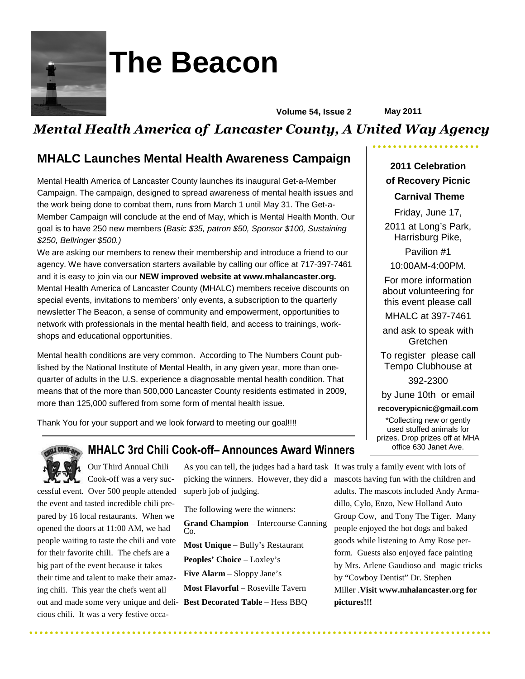

# **The Beacon**

**Volume 54, Issue 2 May 2011** 

# *Mental Health America of Lancaster County, A United Way Agency*

## **MHALC Launches Mental Health Awareness Campaign**

Mental Health America of Lancaster County launches its inaugural Get-a-Member Campaign. The campaign, designed to spread awareness of mental health issues and the work being done to combat them, runs from March 1 until May 31. The Get-a-Member Campaign will conclude at the end of May, which is Mental Health Month. Our goal is to have 250 new members (Basic \$35, patron \$50, Sponsor \$100, Sustaining \$250, Bellringer \$500.)

We are asking our members to renew their membership and introduce a friend to our agency. We have conversation starters available by calling our office at 717-397-7461 and it is easy to join via our **NEW improved website at www.mhalancaster.org.**  Mental Health America of Lancaster County (MHALC) members receive discounts on special events, invitations to members' only events, a subscription to the quarterly newsletter The Beacon, a sense of community and empowerment, opportunities to network with professionals in the mental health field, and access to trainings, workshops and educational opportunities.

Mental health conditions are very common. According to The Numbers Count published by the National Institute of Mental Health, in any given year, more than onequarter of adults in the U.S. experience a diagnosable mental health condition. That means that of the more than 500,000 Lancaster County residents estimated in 2009, more than 125,000 suffered from some form of mental health issue.

Thank You for your support and we look forward to meeting our goal!!!!

### **MHALC 3rd Chili Cook-off– Announces Award Winners**

Our Third Annual Chili Cook-off was a very successful event. Over 500 people attended the event and tasted incredible chili prepared by 16 local restaurants. When we opened the doors at 11:00 AM, we had people waiting to taste the chili and vote for their favorite chili. The chefs are a big part of the event because it takes their time and talent to make their amazing chili. This year the chefs went all out and made some very unique and deli-**Best Decorated Table** – Hess BBQ

cious chili. It was a very festive occa-

As you can tell, the judges had a hard task It was truly a family event with lots of picking the winners. However, they did a mascots having fun with the children and superb job of judging.

The following were the winners: **Grand Champion** – Intercourse Canning Co. **Most Unique** – Bully's Restaurant **Peoples' Choice** – Loxley's **Five Alarm** – Sloppy Jane's **Most Flavorful** – Roseville Tavern

### **2011 Celebration of Recovery Picnic**

#### **Carnival Theme**

Friday, June 17, 2011 at Long's Park, Harrisburg Pike, Pavilion #1

10:00AM-4:00PM.

For more information about volunteering for this event please call

MHALC at 397-7461

and ask to speak with **Gretchen** 

To register please call Tempo Clubhouse at

392-2300

by June 10th or email

**recoverypicnic@gmail.com** 

\*Collecting new or gently used stuffed animals for prizes. Drop prizes off at MHA office 630 Janet Ave.

adults. The mascots included Andy Armadillo, Cylo, Enzo, New Holland Auto Group Cow, and Tony The Tiger. Many people enjoyed the hot dogs and baked goods while listening to Amy Rose perform. Guests also enjoyed face painting by Mrs. Arlene Gaudioso and magic tricks by "Cowboy Dentist" Dr. Stephen Miller .**Visit www.mhalancaster.org for pictures!!!**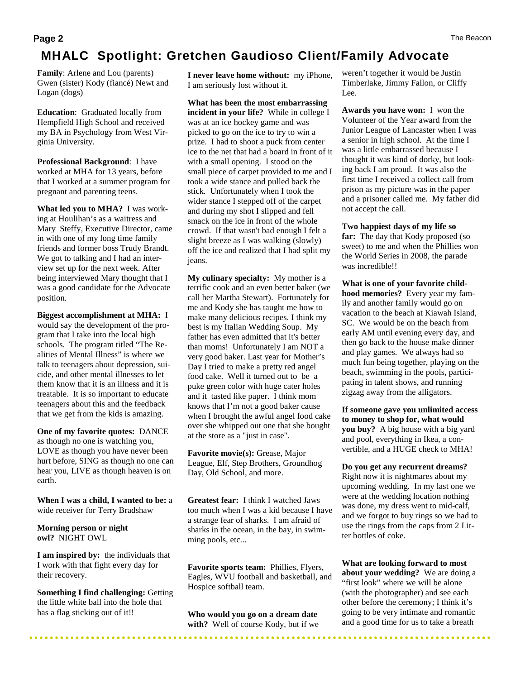# **MHALC Spotlight: Gretchen Gaudioso Client/Family Advocate**

**Family**: Arlene and Lou (parents) Gwen (sister) Kody (fiancé) Newt and Logan (dogs)

**Education**: Graduated locally from Hempfield High School and received my BA in Psychology from West Virginia University.

**Professional Background**: I have worked at MHA for 13 years, before that I worked at a summer program for pregnant and parenting teens.

**What led you to MHA?** I was working at Houlihan's as a waitress and Mary Steffy, Executive Director, came in with one of my long time family friends and former boss Trudy Brandt. We got to talking and I had an interview set up for the next week. After being interviewed Mary thought that I was a good candidate for the Advocate position.

**Biggest accomplishment at MHA:** I would say the development of the program that I take into the local high schools. The program titled "The Realities of Mental Illness" is where we talk to teenagers about depression, suicide, and other mental illnesses to let them know that it is an illness and it is treatable. It is so important to educate teenagers about this and the feedback that we get from the kids is amazing.

**One of my favorite quotes:** DANCE as though no one is watching you, LOVE as though you have never been hurt before, SING as though no one can hear you, LIVE as though heaven is on earth.

**When I was a child, I wanted to be:** a wide receiver for Terry Bradshaw

**Morning person or night owl?** NIGHT OWL

**I am inspired by:** the individuals that I work with that fight every day for their recovery.

**Something I find challenging: Getting** the little white ball into the hole that has a flag sticking out of it!!

**I never leave home without:** my iPhone, I am seriously lost without it.

**What has been the most embarrassing incident in your life?** While in college I was at an ice hockey game and was picked to go on the ice to try to win a prize. I had to shoot a puck from center ice to the net that had a board in front of it with a small opening. I stood on the small piece of carpet provided to me and I took a wide stance and pulled back the stick. Unfortunately when I took the wider stance I stepped off of the carpet and during my shot I slipped and fell smack on the ice in front of the whole crowd. If that wasn't bad enough I felt a slight breeze as I was walking (slowly) off the ice and realized that I had split my jeans.

**My culinary specialty:** My mother is a terrific cook and an even better baker (we call her Martha Stewart). Fortunately for me and Kody she has taught me how to make many delicious recipes. I think my best is my Italian Wedding Soup. My father has even admitted that it's better than moms! Unfortunately I am NOT a very good baker. Last year for Mother's Day I tried to make a pretty red angel food cake. Well it turned out to be a puke green color with huge cater holes and it tasted like paper. I think mom knows that I'm not a good baker cause when I brought the awful angel food cake over she whipped out one that she bought at the store as a "just in case".

**Favorite movie(s):** Grease, Major League, Elf, Step Brothers, Groundhog Day, Old School, and more.

**Greatest fear:** I think I watched Jaws too much when I was a kid because I have a strange fear of sharks. I am afraid of sharks in the ocean, in the bay, in swimming pools, etc...

**Favorite sports team:** Phillies, Flyers, Eagles, WVU football and basketball, and Hospice softball team.

**Who would you go on a dream date with?** Well of course Kody, but if we

weren't together it would be Justin Timberlake, Jimmy Fallon, or Cliffy Lee.

**Awards you have won:** I won the Volunteer of the Year award from the Junior League of Lancaster when I was a senior in high school. At the time I was a little embarrassed because I thought it was kind of dorky, but looking back I am proud. It was also the first time I received a collect call from prison as my picture was in the paper and a prisoner called me. My father did not accept the call.

**Two happiest days of my life so far:** The day that Kody proposed (so sweet) to me and when the Phillies won the World Series in 2008, the parade was incredible!!

**What is one of your favorite childhood memories?** Every year my family and another family would go on vacation to the beach at Kiawah Island, SC. We would be on the beach from early AM until evening every day, and then go back to the house make dinner and play games. We always had so much fun being together, playing on the beach, swimming in the pools, participating in talent shows, and running zigzag away from the alligators.

**If someone gave you unlimited access to money to shop for, what would you buy?** A big house with a big yard and pool, everything in Ikea, a convertible, and a HUGE check to MHA!

**Do you get any recurrent dreams?**  Right now it is nightmares about my upcoming wedding. In my last one we were at the wedding location nothing was done, my dress went to mid-calf, and we forgot to buy rings so we had to use the rings from the caps from 2 Litter bottles of coke.

**What are looking forward to most about your wedding?** We are doing a "first look" where we will be alone (with the photographer) and see each other before the ceremony; I think it's going to be very intimate and romantic and a good time for us to take a breath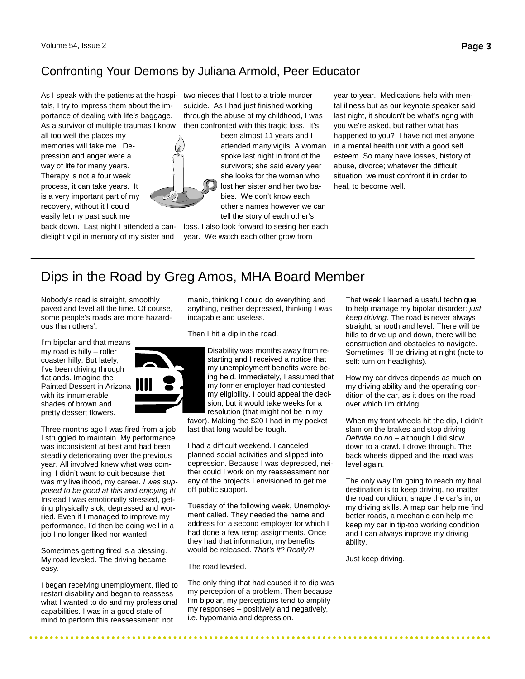#### Confronting Your Demons by Juliana Armold, Peer Educator

As I speak with the patients at the hospi-two nieces that I lost to a triple murder tals, I try to impress them about the importance of dealing with life's baggage. As a survivor of multiple traumas I know

all too well the places my memories will take me. Depression and anger were a way of life for many years. Therapy is not a four week process, it can take years. It is a very important part of my recovery, without it I could easily let my past suck me



dlelight vigil in memory of my sister and

suicide. As I had just finished working through the abuse of my childhood, I was then confronted with this tragic loss. It's

> been almost 11 years and I attended many vigils. A woman spoke last night in front of the survivors; she said every year she looks for the woman who lost her sister and her two babies. We don't know each other's names however we can tell the story of each other's

back down. Last night I attended a can-loss. I also look forward to seeing her each year. We watch each other grow from

year to year. Medications help with mental illness but as our keynote speaker said last night, it shouldn't be what's ngng with you we're asked, but rather what has happened to you? I have not met anyone in a mental health unit with a good self esteem. So many have losses, history of abuse, divorce; whatever the difficult situation, we must confront it in order to heal, to become well.

# Dips in the Road by Greg Amos, MHA Board Member

Nobody's road is straight, smoothly paved and level all the time. Of course, some people's roads are more hazardous than others'.

I'm bipolar and that means my road is hilly – roller coaster hilly. But lately, I've been driving through flatlands. Imagine the Painted Dessert in Arizona with its innumerable shades of brown and pretty dessert flowers.



Three months ago I was fired from a job I struggled to maintain. My performance was inconsistent at best and had been steadily deteriorating over the previous year. All involved knew what was coming. I didn't want to quit because that was my livelihood, my career. I was supposed to be good at this and enjoying it! Instead I was emotionally stressed, getting physically sick, depressed and worried. Even if I managed to improve my performance, I'd then be doing well in a job I no longer liked nor wanted.

Sometimes getting fired is a blessing. My road leveled. The driving became easy.

I began receiving unemployment, filed to restart disability and began to reassess what I wanted to do and my professional capabilities. I was in a good state of mind to perform this reassessment: not

manic, thinking I could do everything and anything, neither depressed, thinking I was incapable and useless.

Then I hit a dip in the road.

Disability was months away from restarting and I received a notice that my unemployment benefits were being held. Immediately, I assumed that my former employer had contested my eligibility. I could appeal the decision, but it would take weeks for a resolution (that might not be in my

favor). Making the \$20 I had in my pocket last that long would be tough.

I had a difficult weekend. I canceled planned social activities and slipped into depression. Because I was depressed, neither could I work on my reassessment nor any of the projects I envisioned to get me off public support.

Tuesday of the following week, Unemployment called. They needed the name and address for a second employer for which I had done a few temp assignments. Once they had that information, my benefits would be released. That's it? Really?!

#### The road leveled.

The only thing that had caused it to dip was my perception of a problem. Then because I'm bipolar, my perceptions tend to amplify my responses – positively and negatively, i.e. hypomania and depression.

. . . . . . . . . . . . . . . . . .

That week I learned a useful technique to help manage my bipolar disorder: just keep driving. The road is never always straight, smooth and level. There will be hills to drive up and down, there will be construction and obstacles to navigate. Sometimes I'll be driving at night (note to self: turn on headlights).

How my car drives depends as much on my driving ability and the operating condition of the car, as it does on the road over which I'm driving.

When my front wheels hit the dip, I didn't slam on the brakes and stop driving – Definite no  $no$  – although I did slow down to a crawl. I drove through. The back wheels dipped and the road was level again.

The only way I'm going to reach my final destination is to keep driving, no matter the road condition, shape the car's in, or my driving skills. A map can help me find better roads, a mechanic can help me keep my car in tip-top working condition and I can always improve my driving ability.

Just keep driving.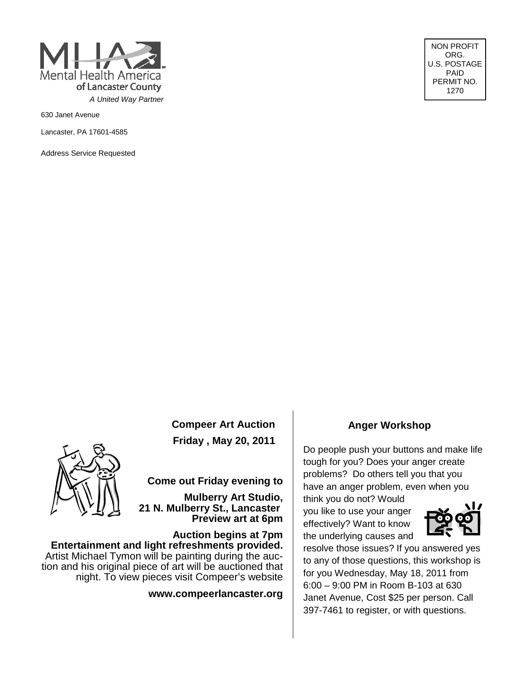

630 Janet Avenue

Lancaster, PA 17601-4585

Address Service Requested

NON PROFIT ORG. U.S. POSTAGE PAID PERMIT NO. 1270

**Compeer Art Auction Friday , May 20, 2011** 



**Come out Friday evening to** 

**Mulberry Art Studio, 21 N. Mulberry St., Lancaster Preview art at 6pm** 

**Auction begins at 7pm Entertainment and light refreshments provided.** Artist Michael Tymon will be painting during the auction and his original piece of art will be auctioned that night. To view pieces visit Compeer's website

**www.compeerlancaster.org**

#### **Anger Workshop**

Do people push your buttons and make life tough for you? Does your anger create problems? Do others tell you that you have an anger problem, even when you

think you do not? Would you like to use your anger effectively? Want to know the underlying causes and



resolve those issues? If you answered yes to any of those questions, this workshop is for you Wednesday, May 18, 2011 from 6:00 – 9:00 PM in Room B-103 at 630 Janet Avenue, Cost \$25 per person. Call 397-7461 to register, or with questions.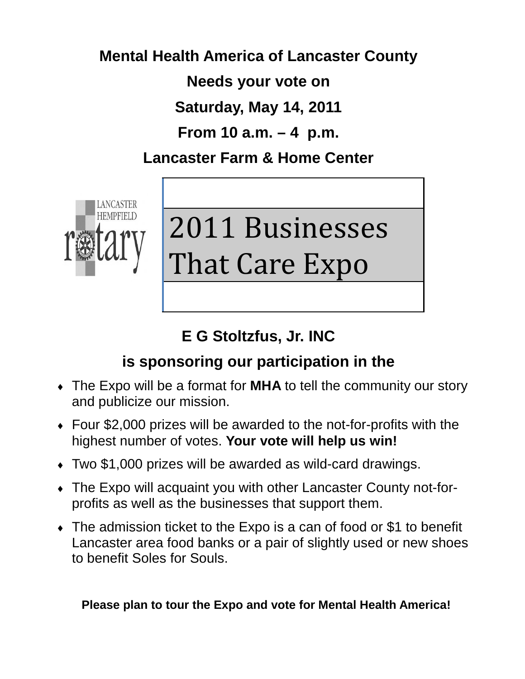# **Mental Health America of Lancaster County**

**Needs your vote on** 

**Saturday, May 14, 2011** 

**From 10 a.m. – 4 p.m.** 

**Lancaster Farm & Home Center** 



# 2011 Businesses That Care Expo

# **E G Stoltzfus, Jr. INC**

# **is sponsoring our participation in the**

- The Expo will be a format for **MHA** to tell the community our story and publicize our mission.
- $\overline{\bullet}$  Four \$2,000 prizes will be awarded to the not-for-profits with the highest number of votes. **Your vote will help us win!**
- $\bullet$  Two \$1,000 prizes will be awarded as wild-card drawings.
- The Expo will acquaint you with other Lancaster County not-forprofits as well as the businesses that support them.
- $\bullet$  The admission ticket to the Expo is a can of food or \$1 to benefit Lancaster area food banks or a pair of slightly used or new shoes to benefit Soles for Souls.

## **Please plan to tour the Expo and vote for Mental Health America!**